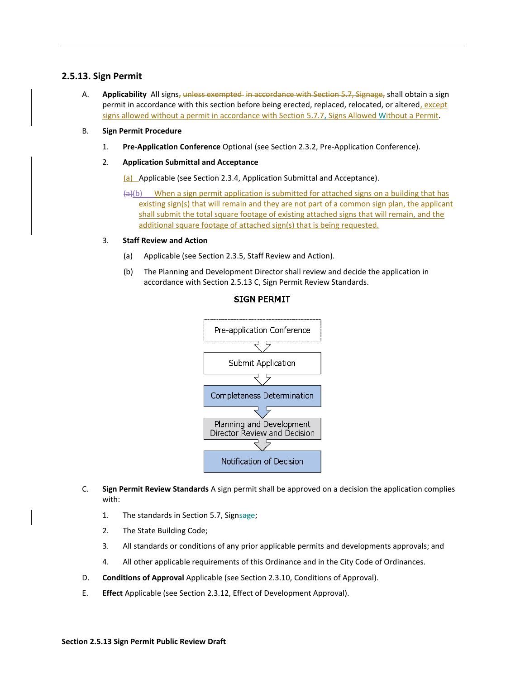## **2.5.13. Sign Permit**

- A. **Applicability** All signs, unless exempted in accordance with Section 5.7, Signage, shall obtain a sign permit in accordance with this section before being erected, replaced, relocated, or altered, except signs allowed without a permit in accordance with Section 5.7.7, Signs Allowed Without a Permit.
- B. **Sign Permit Procedure**
	- 1. **Pre-Application Conference** Optional (see Section 2.3.2, Pre-Application Conference).
	- 2. **Application Submittal and Acceptance**

(a) Applicable (see Section 2.3.4, Application Submittal and Acceptance).

 $(a)(b)$  When a sign permit application is submitted for attached signs on a building that has existing sign(s) that will remain and they are not part of a common sign plan, the applicant shall submit the total square footage of existing attached signs that will remain, and the additional square footage of attached sign(s) that is being requested.

## 3. **Staff Review and Action**

- (a) Applicable (see Section 2.3.5, Staff Review and Action).
- (b) The Planning and Development Director shall review and decide the application in accordance with Section 2.5.13 C, Sign Permit Review Standards.



## **SIGN PERMIT**

- C. **Sign Permit Review Standards** A sign permit shall be approved on a decision the application complies with:
	- 1. The standards in Section 5.7, Signsage;
	- 2. The State Building Code;
	- 3. All standards or conditions of any prior applicable permits and developments approvals; and
	- 4. All other applicable requirements of this Ordinance and in the City Code of Ordinances.
- D. **Conditions of Approval** Applicable (see Section 2.3.10, Conditions of Approval).
- E. **Effect** Applicable (see Section 2.3.12, Effect of Development Approval).